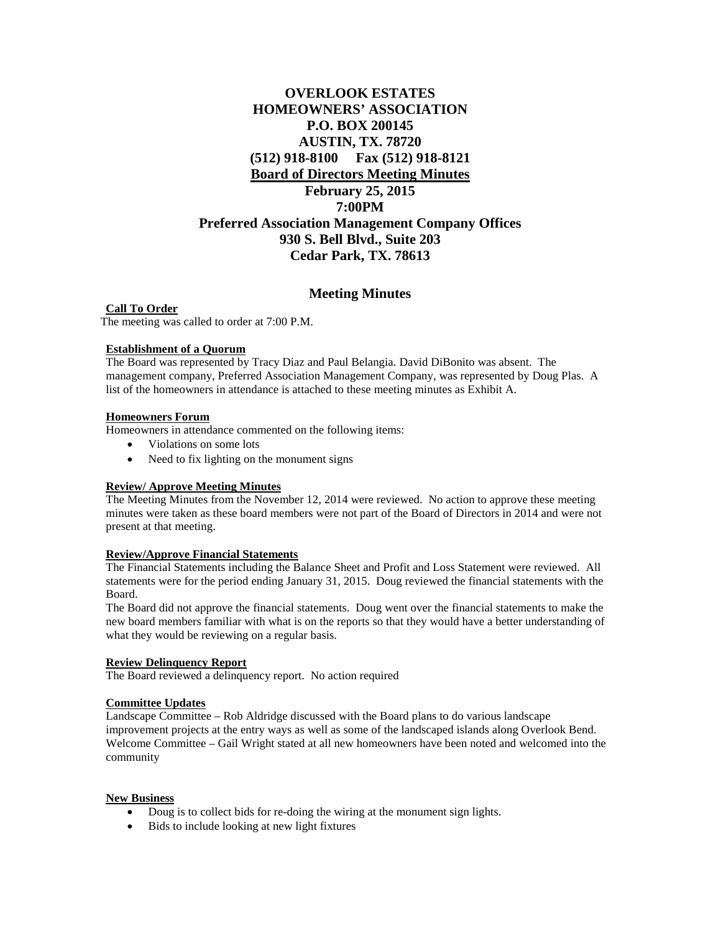# **OVERLOOK ESTATES HOMEOWNERS' ASSOCIATION P.O. BOX 200145 AUSTIN, TX. 78720 (512) 918-8100 Fax (512) 918-8121 Board of Directors Meeting Minutes February 25, 2015 7:00PM Preferred Association Management Company Offices 930 S. Bell Blvd., Suite 203 Cedar Park, TX. 78613**

## **Meeting Minutes**

**Call To Order** The meeting was called to order at 7:00 P.M.

#### **Establishment of a Quorum**

The Board was represented by Tracy Diaz and Paul Belangia. David DiBonito was absent. The management company, Preferred Association Management Company, was represented by Doug Plas. A list of the homeowners in attendance is attached to these meeting minutes as Exhibit A.

#### **Homeowners Forum**

Homeowners in attendance commented on the following items:

- Violations on some lots
- Need to fix lighting on the monument signs

#### **Review/ Approve Meeting Minutes**

The Meeting Minutes from the November 12, 2014 were reviewed. No action to approve these meeting minutes were taken as these board members were not part of the Board of Directors in 2014 and were not present at that meeting.

#### **Review/Approve Financial Statements**

The Financial Statements including the Balance Sheet and Profit and Loss Statement were reviewed. All statements were for the period ending January 31, 2015. Doug reviewed the financial statements with the Board.

The Board did not approve the financial statements. Doug went over the financial statements to make the new board members familiar with what is on the reports so that they would have a better understanding of what they would be reviewing on a regular basis.

### **Review Delinquency Report**

The Board reviewed a delinquency report. No action required

## **Committee Updates**

Landscape Committee – Rob Aldridge discussed with the Board plans to do various landscape improvement projects at the entry ways as well as some of the landscaped islands along Overlook Bend. Welcome Committee – Gail Wright stated at all new homeowners have been noted and welcomed into the community

#### **New Business**

- Doug is to collect bids for re-doing the wiring at the monument sign lights.
- Bids to include looking at new light fixtures